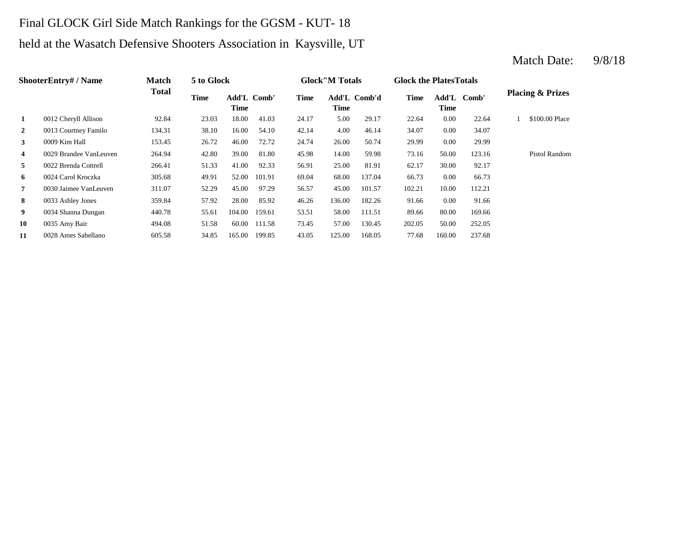## Final GLOCK Girl Side Match Rankings for the GGSM - KUT- 18

# held at the Wasatch Defensive Shooters Association in Kaysville, UT

### **2** 4.013 Courtney Familo 134.31 38.10 16.00 54.10 42.14 4.00 46.14 34.07 0.00 34.07 **3** 26.00 **12.13 26.00** 27.72 24.74 26.00 26.74 29.99 **4** 0029 Brandee VanLeuven 264.94 42.80 39.00 81.80 45.98 14.00 59.98 73.16 **5** 25.00 **62.17** 266.41 **266.41** 51.33 41.00 **92.33** 56.91 81.91 62.17 **6** 0024 Carol Kroczka 305.68 49.91 52.00 101.91 69.04 68.00 137.04 66.73 0.00 **7** 45.00 101.57 102.21 10.00 112.21 10.00 112.21 10.00 112.21 **8** 136.00 91.66 0033 Ashley Jones 359.84 57.92 28.00 85.92 46.26 **9** 0034 Shanna Dungan  $440.78$  55.61 104.00 159.61 53.51 58.00 111.51 89.66 **10** 0035 Amy Bair **1011.58** 494.08 51.58 60.00 111.58 73.45 57.00 130.45 202.05 50.00 **11** 0028 Ames Sabellano 605.58 34.85 165.00 199.85 43.05 125.00 168.05 77.68 160.00 237.68 252.05 80.00 169.66 182.26 91.66 0.00 91.66 66.73 30.00 92.17 50.00 123.16 Pistol Random 50.74 0.00 29.99 0009 Kim Hall 153.45 26.72 46.00 72.72 24.74 \$100.00 Place 5.00 29.17 22.64 0.00 22.64 1 **Time Add'L Comb' Time 1** 0012 Cheryll Allison 92.84 23.03 18.00 41.03 24.17 Add'L Comb' **Time Comb' Time Add'L Comb'd Time ShooterEntry# / Name Match Total 5 to Glock Time Glock"M Totals Glock the PlatesTotals Placing & Prizes**

### Match Date:  $9/8/18$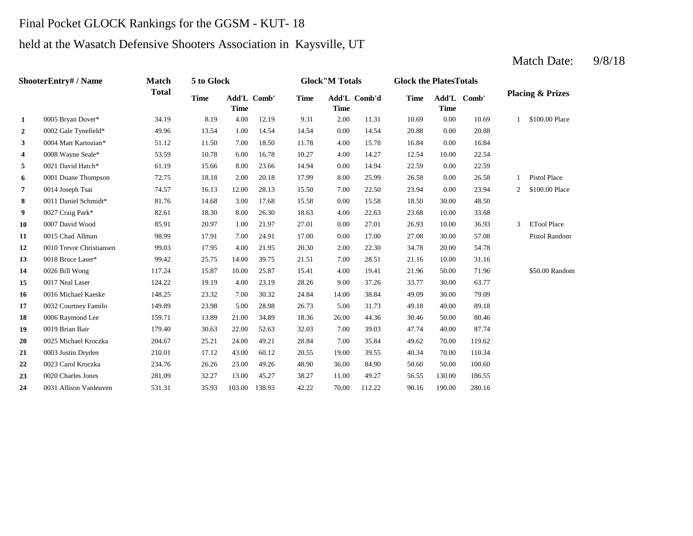## Final Pocket GLOCK Rankings for the GGSM - KUT- 18

# held at the Wasatch Defensive Shooters Association in Kaysville, UT

### **2** 0.00 20.88 0002 Gale Tynefield\* 49.96 13.54 1.00 14.54 14.54 14.54 0.00 20.88 **3** 4.00 15.78 16.84 **4** 0008 Wayne Seale\* 53.59 10.78 6.00 16.78 10.27 4.00 14.27 12.54 **5** 0.021 David Hatch\* 61.19 15.66 8.00 23.66 14.94 0.00 14.94 22.59 0.00 **6** 8.00 **Duane Thompson** 72.75 18.18 2.00 20.18 17.99 8.00 25.99 26.58 8.00 26.58 **7** 0014 Joseph Tsai **74.57** 16.13 12.00 28.13 15.50 7.00 22.50 23.94 0.00 **8** 0.00 11 Daniel Schmidt\* 81.76 14.68 3.00 17.68 15.58 0.00 15.58 18.50 **9** 0027 Craig Park\* 82.61 18.30 8.00 26.30 18.63 4.00 22.63 23.68 10.00 **10** 0007 David Wood 85.91 20.97 1.00 21.97 27.01 0.00 27.01 26.93 10.00 36.93 **11** 0.00 27.08 0015 Chad Allman 98.99 17.91 7.00 24.91 17.00 17.00 30.00 **12** 0010 Trevor Christiansen 99.03 17.95 4.00 21.95 20.30 2.00 22.30 34.78 20.00 **13** 0018 Bruce Laser\* 99.42 25.75 14.00 39.75 21.51 7.00 28.51 21.16 10.00 31.16 **14** 0026 Bill Wong **117.24** 15.87 10.00 25.87 15.41 4.00 19.41 21.96 **15** 9.00 33.77 0017 Neal Laser 124.22 19.19 4.00 23.19 28.26 **16** 0016 Michael Kaeske 148.25 23.32 7.00 30.32 24.84 14.00 38.84 49.09 **17** 0032 Courtney Familo 149.89 23.98 5.00 28.98 26.73 5.00 31.73 49.18 40.00 **18** 0006 Raymond Lee 159.71 13.89 21.00 34.89 18.36 26.00 44.36 30.46 50.00 80.46 **19** 0019 Brian Bair **179.40** 30.63 22.00 52.63 32.03 7.00 39.03 47.74 **20** 0025 Michael Kroczka 204.67 25.21 24.00 49.21 28.84 7.00 35.84 49.62 **21** 0003 Justin Dryden 210.01 17.12 43.00 60.12 20.55 19.00 39.55 40.34 70.00 **22** 36.00 50.60 0023 Carol Kroczka 234.76 26.26 23.00 49.26 48.90 84.90 50.00 100.60 **23** 11.00 56.55 0020 Charles Jones 281.09 32.27 13.00 45.27 38.27 **24** 0031 Allison Vanleuven 531.31 35.93 103.00 138.93 42.22 70.00 112.22 90.16 190.00 280.16 49.27 130.00 186.55 110.34 70.00 119.62 39.03 47.74 40.00 87.74 89.18 30.00 79.09 37.26 33.77 30.00 63.77 19.41 21.96 50.00 71.96 \$50.00 Random 54.78 57.08 Pistol Random 3 ETool Place 33.68 30.00 48.50 23.94 2 \$100.00 Place 1 Pistol Place 22.59 10.00 22.54 15.78 0.00 16.84 \$100.00 Place 2.00 11.31 10.69 0.00 10.69 1 **Time Add'L Comb' Time 1** 0005 Bryan Dover\* 34.19 8.19 4.00 12.19 9.31 Add'L Comb' **Time Comb' Time Add'L Comb'd Time ShooterEntry# / Name Match Total 5 to Glock Time Glock"M Totals Glock the PlatesTotals Placing & Prizes**

### Match Date:  $9/8/18$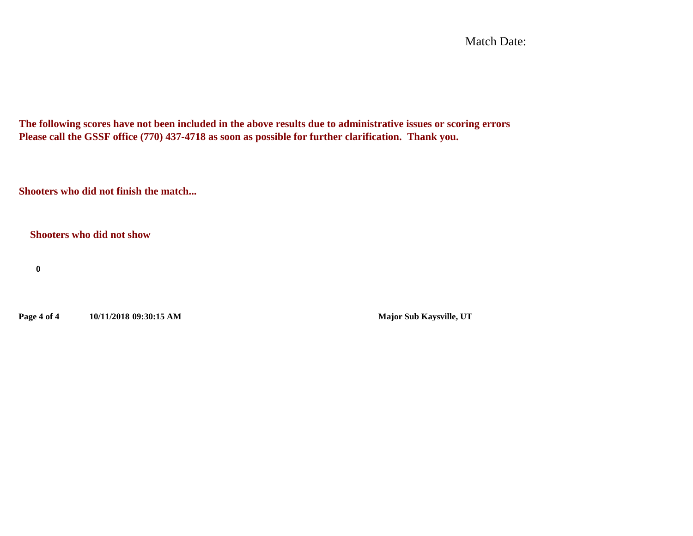Match Date:

**The following scores have not been included in the above results due to administrative issues or scoring errors Please call the GSSF office (770) 437-4718 as soon as possible for further clarification. Thank you.**

**Shooters who did not finish the match...**

**Shooters who did not show**

**0**

**Page 4 of 4 10/11/2018 09:30:15 AM Major Sub Kaysville, UT**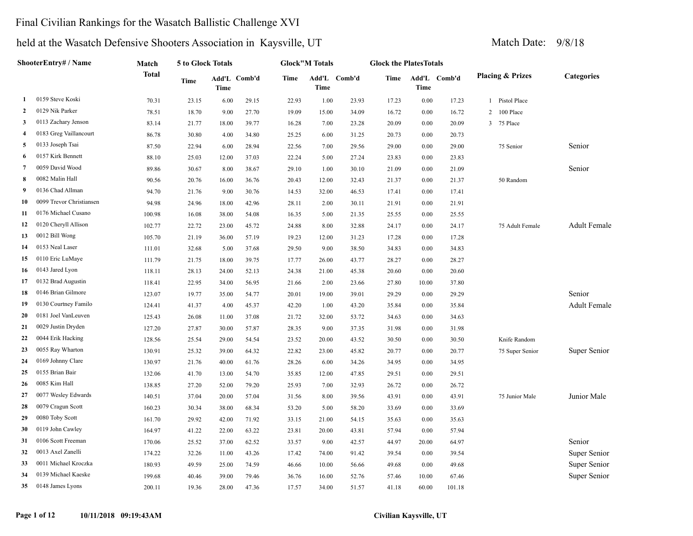### Final Civilian Rankings for the Wasatch Ballistic Challenge XVI

|                | ShooterEntry# / Name     | Match        | 5 to Glock Totals |                             |       | <b>Glock"M Totals</b> |       |              | <b>Glock the PlatesTotals</b> |       |              |                             |                     |
|----------------|--------------------------|--------------|-------------------|-----------------------------|-------|-----------------------|-------|--------------|-------------------------------|-------|--------------|-----------------------------|---------------------|
|                |                          | <b>Total</b> | <b>Time</b>       | Add'L Comb'd<br><b>Time</b> |       | <b>Time</b>           | Time  | Add'L Comb'd | Time                          | Time  | Add'L Comb'd | <b>Placing &amp; Prizes</b> | <b>Categories</b>   |
| 1              | 0159 Steve Koski         | 70.31        | 23.15             | 6.00                        | 29.15 | 22.93                 | 1.00  | 23.93        | 17.23                         | 0.00  | 17.23        | Pistol Place                |                     |
| $\mathbf{2}$   | 0129 Nik Parker          | 78.51        | 18.70             | 9.00                        | 27.70 | 19.09                 | 15.00 | 34.09        | 16.72                         | 0.00  | 16.72        | 100 Place<br>2              |                     |
| 3              | 0113 Zachary Jenson      | 83.14        | 21.77             | 18.00                       | 39.77 | 16.28                 | 7.00  | 23.28        | 20.09                         | 0.00  | 20.09        | 75 Place<br>3               |                     |
| 4              | 0183 Greg Vaillancourt   | 86.78        | 30.80             | 4.00                        | 34.80 | 25.25                 | 6.00  | 31.25        | 20.73                         | 0.00  | 20.73        |                             |                     |
| 5              | 0133 Joseph Tsai         | 87.50        | 22.94             | 6.00                        | 28.94 | 22.56                 | 7.00  | 29.56        | 29.00                         | 0.00  | 29.00        | 75 Senior                   | Senior              |
| 6              | 0157 Kirk Bennett        | 88.10        | 25.03             | 12.00                       | 37.03 | 22.24                 | 5.00  | 27.24        | 23.83                         | 0.00  | 23.83        |                             |                     |
| $\overline{7}$ | 0059 David Wood          | 89.86        | 30.67             | 8.00                        | 38.67 | 29.10                 | 1.00  | 30.10        | 21.09                         | 0.00  | 21.09        |                             | Senior              |
| 8              | 0082 Malin Hall          | 90.56        | 20.76             | 16.00                       | 36.76 | 20.43                 | 12.00 | 32.43        | 21.37                         | 0.00  | 21.37        | 50 Random                   |                     |
| 9              | 0136 Chad Allman         | 94.70        | 21.76             | 9.00                        | 30.76 | 14.53                 | 32.00 | 46.53        | 17.41                         | 0.00  | 17.41        |                             |                     |
| 10             | 0099 Trevor Christiansen | 94.98        | 24.96             | 18.00                       | 42.96 | 28.11                 | 2.00  | 30.11        | 21.91                         | 0.00  | 21.91        |                             |                     |
| 11             | 0176 Michael Cusano      | 100.98       | 16.08             | 38.00                       | 54.08 | 16.35                 | 5.00  | 21.35        | 25.55                         | 0.00  | 25.55        |                             |                     |
| 12             | 0120 Cheryll Allison     | 102.77       | 22.72             | 23.00                       | 45.72 | 24.88                 | 8.00  | 32.88        | 24.17                         | 0.00  | 24.17        | 75 Adult Female             | <b>Adult Female</b> |
| 13             | 0012 Bill Wong           | 105.70       | 21.19             | 36.00                       | 57.19 | 19.23                 | 12.00 | 31.23        | 17.28                         | 0.00  | 17.28        |                             |                     |
| 14             | 0153 Neal Laser          | 111.01       | 32.68             | 5.00                        | 37.68 | 29.50                 | 9.00  | 38.50        | 34.83                         | 0.00  | 34.83        |                             |                     |
| 15             | 0110 Eric LuMaye         | 111.79       | 21.75             | 18.00                       | 39.75 | 17.77                 | 26.00 | 43.77        | 28.27                         | 0.00  | 28.27        |                             |                     |
| 16             | 0143 Jared Lyon          | 118.11       | 28.13             | 24.00                       | 52.13 | 24.38                 | 21.00 | 45.38        | 20.60                         | 0.00  | 20.60        |                             |                     |
| 17             | 0132 Brad Augustin       | 118.41       | 22.95             | 34.00                       | 56.95 | 21.66                 | 2.00  | 23.66        | 27.80                         | 10.00 | 37.80        |                             |                     |
| 18             | 0146 Brian Gilmore       | 123.07       | 19.77             | 35.00                       | 54.77 | 20.01                 | 19.00 | 39.01        | 29.29                         | 0.00  | 29.29        |                             | Senior              |
| 19             | 0130 Courtney Familo     | 124.41       | 41.37             | 4.00                        | 45.37 | 42.20                 | 1.00  | 43.20        | 35.84                         | 0.00  | 35.84        |                             | <b>Adult Female</b> |
| 20             | 0181 Joel VanLeuven      | 125.43       | 26.08             | 11.00                       | 37.08 | 21.72                 | 32.00 | 53.72        | 34.63                         | 0.00  | 34.63        |                             |                     |
| 21             | 0029 Justin Dryden       | 127.20       | 27.87             | 30.00                       | 57.87 | 28.35                 | 9.00  | 37.35        | 31.98                         | 0.00  | 31.98        |                             |                     |
| 22             | 0044 Erik Hacking        | 128.56       | 25.54             | 29.00                       | 54.54 | 23.52                 | 20.00 | 43.52        | 30.50                         | 0.00  | 30.50        | Knife Random                |                     |
| 23             | 0055 Ray Wharton         | 130.91       | 25.32             | 39.00                       | 64.32 | 22.82                 | 23.00 | 45.82        | 20.77                         | 0.00  | 20.77        | 75 Super Senior             | Super Senior        |
| 24             | 0169 Johnny Clare        | 130.97       | 21.76             | 40.00                       | 61.76 | 28.26                 | 6.00  | 34.26        | 34.95                         | 0.00  | 34.95        |                             |                     |
| 25             | 0155 Brian Bair          | 132.06       | 41.70             | 13.00                       | 54.70 | 35.85                 | 12.00 | 47.85        | 29.51                         | 0.00  | 29.51        |                             |                     |
| 26             | 0085 Kim Hall            | 138.85       | 27.20             | 52.00                       | 79.20 | 25.93                 | 7.00  | 32.93        | 26.72                         | 0.00  | 26.72        |                             |                     |
| 27             | 0077 Wesley Edwards      | 140.51       | 37.04             | 20.00                       | 57.04 | 31.56                 | 8.00  | 39.56        | 43.91                         | 0.00  | 43.91        | 75 Junior Male              | Junior Male         |
| 28             | 0079 Cragun Scott        | 160.23       | 30.34             | 38.00                       | 68.34 | 53.20                 | 5.00  | 58.20        | 33.69                         | 0.00  | 33.69        |                             |                     |
| 29             | 0080 Toby Scott          | 161.70       | 29.92             | 42.00                       | 71.92 | 33.15                 | 21.00 | 54.15        | 35.63                         | 0.00  | 35.63        |                             |                     |
| 30             | 0119 John Cawley         | 164.97       | 41.22             | 22.00                       | 63.22 | 23.81                 | 20.00 | 43.81        | 57.94                         | 0.00  | 57.94        |                             |                     |
| 31             | 0106 Scott Freeman       | 170.06       | 25.52             | 37.00                       | 62.52 | 33.57                 | 9.00  | 42.57        | 44.97                         | 20.00 | 64.97        |                             | Senior              |
| 32             | 0013 Axel Zanelli        | 174.22       | 32.26             | 11.00                       | 43.26 | 17.42                 | 74.00 | 91.42        | 39.54                         | 0.00  | 39.54        |                             | Super Senior        |
| 33             | 0011 Michael Kroczka     | 180.93       | 49.59             | 25.00                       | 74.59 | 46.66                 | 10.00 | 56.66        | 49.68                         | 0.00  | 49.68        |                             | Super Senior        |
| 34             | 0139 Michael Kaeske      | 199.68       | 40.46             | 39.00                       | 79.46 | 36.76                 | 16.00 | 52.76        | 57.46                         | 10.00 | 67.46        |                             | Super Senior        |
| 35             | 0148 James Lyons         | 200.11       | 19.36             | 28.00                       | 47.36 | 17.57                 | 34.00 | 51.57        | 41.18                         | 60.00 | 101.18       |                             |                     |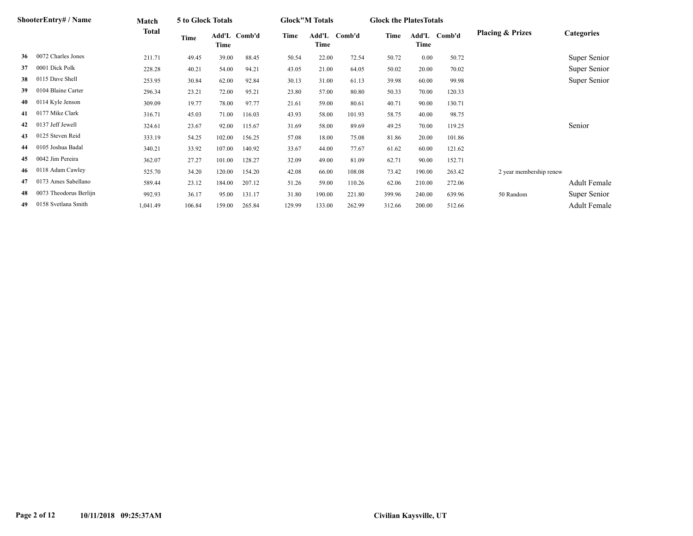|    | <b>ShooterEntry#/Name</b> | Match    | 5 to Glock Totals |                      |        |        | <b>Glock</b> "M Totals |        | <b>Glock the Plates Totals</b> |        |              |                             |                     |
|----|---------------------------|----------|-------------------|----------------------|--------|--------|------------------------|--------|--------------------------------|--------|--------------|-----------------------------|---------------------|
|    |                           | Total    | Time              | Add'L Comb'd<br>Time |        | Time   | Add'L<br>Time          | Comb'd | Time                           | Time   | Add'L Comb'd | <b>Placing &amp; Prizes</b> | <b>Categories</b>   |
| 36 | 0072 Charles Jones        | 211.71   | 49.45             | 39.00                | 88.45  | 50.54  | 22.00                  | 72.54  | 50.72                          | 0.00   | 50.72        |                             | Super Senior        |
| 37 | 0001 Dick Polk            | 228.28   | 40.21             | 54.00                | 94.21  | 43.05  | 21.00                  | 64.05  | 50.02                          | 20.00  | 70.02        |                             | Super Senior        |
| 38 | 0115 Dave Shell           | 253.95   | 30.84             | 62.00                | 92.84  | 30.13  | 31.00                  | 61.13  | 39.98                          | 60.00  | 99.98        |                             | Super Senior        |
| 39 | 0104 Blaine Carter        | 296.34   | 23.21             | 72.00                | 95.21  | 23.80  | 57.00                  | 80.80  | 50.33                          | 70.00  | 120.33       |                             |                     |
| 40 | 0114 Kyle Jenson          | 309.09   | 19.77             | 78.00                | 97.77  | 21.61  | 59.00                  | 80.61  | 40.71                          | 90.00  | 130.71       |                             |                     |
| 41 | 0177 Mike Clark           | 316.71   | 45.03             | 71.00                | 116.03 | 43.93  | 58.00                  | 101.93 | 58.75                          | 40.00  | 98.75        |                             |                     |
| 42 | 0137 Jeff Jewell          | 324.61   | 23.67             | 92.00                | 115.67 | 31.69  | 58.00                  | 89.69  | 49.25                          | 70.00  | 119.25       |                             | Senior              |
| 43 | 0125 Steven Reid          | 333.19   | 54.25             | 102.00               | 156.25 | 57.08  | 18.00                  | 75.08  | 81.86                          | 20.00  | 101.86       |                             |                     |
| 44 | 0105 Joshua Badal         | 340.21   | 33.92             | 107.00               | 140.92 | 33.67  | 44.00                  | 77.67  | 61.62                          | 60.00  | 121.62       |                             |                     |
| 45 | 0042 Jim Pereira          | 362.07   | 27.27             | 101.00               | 128.27 | 32.09  | 49.00                  | 81.09  | 62.71                          | 90.00  | 152.71       |                             |                     |
| 46 | 0118 Adam Cawley          | 525.70   | 34.20             | 120.00               | 154.20 | 42.08  | 66.00                  | 108.08 | 73.42                          | 190.00 | 263.42       | 2 year membership renew     |                     |
| 47 | 0173 Ames Sabellano       | 589.44   | 23.12             | 184.00               | 207.12 | 51.26  | 59.00                  | 110.26 | 62.06                          | 210.00 | 272.06       |                             | <b>Adult Female</b> |
| 48 | 0073 Theodorus Berlijn    | 992.93   | 36.17             | 95.00                | 131.17 | 31.80  | 190.00                 | 221.80 | 399.96                         | 240.00 | 639.96       | 50 Random                   | Super Senior        |
| 49 | 0158 Svetlana Smith       | 1,041.49 | 106.84            | 159.00               | 265.84 | 129.99 | 133.00                 | 262.99 | 312.66                         | 200.00 | 512.66       |                             | <b>Adult Female</b> |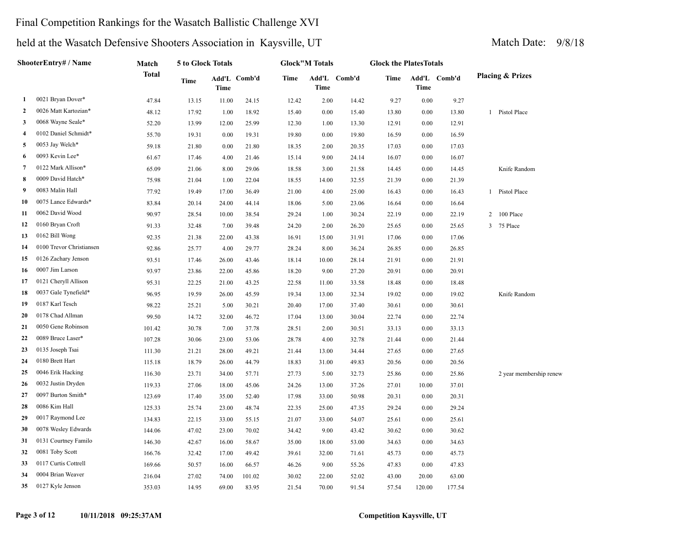### Final Competition Rankings for the Wasatch Ballistic Challenge XVI

|                     | ShooterEntry# / Name<br>0021 Bryan Dover*<br>1 | Match  | 5 to Glock Totals |       |              |             | <b>Glock"M Totals</b> |              |       | <b>Glock the PlatesTotals</b> |              |                             |
|---------------------|------------------------------------------------|--------|-------------------|-------|--------------|-------------|-----------------------|--------------|-------|-------------------------------|--------------|-----------------------------|
|                     |                                                | Total  | Time              | Time  | Add'L Comb'd | <b>Time</b> | <b>Time</b>           | Add'L Comb'd | Time  | Time                          | Add'L Comb'd | <b>Placing &amp; Prizes</b> |
|                     |                                                | 47.84  | 13.15             | 11.00 | 24.15        | 12.42       | 2.00                  | 14.42        | 9.27  | $0.00\,$                      | 9.27         |                             |
| 2                   | 0026 Matt Kartozian*                           | 48.12  | 17.92             | 1.00  | 18.92        | 15.40       | $0.00\,$              | 15.40        | 13.80 | 0.00                          | 13.80        | 1 Pistol Place              |
| 3                   | 0068 Wayne Seale*                              | 52.20  | 13.99             | 12.00 | 25.99        | 12.30       | 1.00                  | 13.30        | 12.91 | 0.00                          | 12.91        |                             |
| $\overline{\bf{4}}$ | 0102 Daniel Schmidt*                           | 55.70  | 19.31             | 0.00  | 19.31        | 19.80       | $0.00\,$              | 19.80        | 16.59 | 0.00                          | 16.59        |                             |
| 5                   | 0053 Jay Welch*                                | 59.18  | 21.80             | 0.00  | 21.80        | 18.35       | 2.00                  | 20.35        | 17.03 | 0.00                          | 17.03        |                             |
| 6                   | 0093 Kevin Lee*                                | 61.67  | 17.46             | 4.00  | 21.46        | 15.14       | 9.00                  | 24.14        | 16.07 | 0.00                          | 16.07        |                             |
| 7                   | 0122 Mark Allison*                             | 65.09  | 21.06             | 8.00  | 29.06        | 18.58       | 3.00                  | 21.58        | 14.45 | 0.00                          | 14.45        | Knife Random                |
| 8                   | 0009 David Hatch*                              | 75.98  | 21.04             | 1.00  | 22.04        | 18.55       | 14.00                 | 32.55        | 21.39 | 0.00                          | 21.39        |                             |
| 9                   | 0083 Malin Hall                                | 77.92  | 19.49             | 17.00 | 36.49        | 21.00       | 4.00                  | 25.00        | 16.43 | 0.00                          | 16.43        | 1 Pistol Place              |
| 10                  | 0075 Lance Edwards*                            | 83.84  | 20.14             | 24.00 | 44.14        | 18.06       | 5.00                  | 23.06        | 16.64 | 0.00                          | 16.64        |                             |
| 11                  | 0062 David Wood                                | 90.97  | 28.54             | 10.00 | 38.54        | 29.24       | 1.00                  | 30.24        | 22.19 | 0.00                          | 22.19        | 2 100 Place                 |
| 12                  | 0160 Bryan Croft                               | 91.33  | 32.48             | 7.00  | 39.48        | 24.20       | 2.00                  | 26.20        | 25.65 | 0.00                          | 25.65        | 75 Place<br>3               |
| 13                  | 0162 Bill Wong                                 | 92.35  | 21.38             | 22.00 | 43.38        | 16.91       | 15.00                 | 31.91        | 17.06 | 0.00                          | 17.06        |                             |
| 14                  | 0100 Trevor Christiansen                       | 92.86  | 25.77             | 4.00  | 29.77        | 28.24       | 8.00                  | 36.24        | 26.85 | 0.00                          | 26.85        |                             |
| 15                  | 0126 Zachary Jenson                            | 93.51  | 17.46             | 26.00 | 43.46        | 18.14       | 10.00                 | 28.14        | 21.91 | 0.00                          | 21.91        |                             |
| 16                  | 0007 Jim Larson                                | 93.97  | 23.86             | 22.00 | 45.86        | 18.20       | 9.00                  | 27.20        | 20.91 | 0.00                          | 20.91        |                             |
| 17                  | 0121 Cheryll Allison                           | 95.31  | 22.25             | 21.00 | 43.25        | 22.58       | 11.00                 | 33.58        | 18.48 | 0.00                          | 18.48        |                             |
| 18                  | 0037 Gale Tynefield*                           | 96.95  | 19.59             | 26.00 | 45.59        | 19.34       | 13.00                 | 32.34        | 19.02 | 0.00                          | 19.02        | Knife Random                |
| 19                  | 0187 Karl Tesch                                | 98.22  | 25.21             | 5.00  | 30.21        | 20.40       | 17.00                 | 37.40        | 30.61 | 0.00                          | 30.61        |                             |
| 20                  | 0178 Chad Allman                               | 99.50  | 14.72             | 32.00 | 46.72        | 17.04       | 13.00                 | 30.04        | 22.74 | 0.00                          | 22.74        |                             |
| 21                  | 0050 Gene Robinson                             | 101.42 | 30.78             | 7.00  | 37.78        | 28.51       | 2.00                  | 30.51        | 33.13 | 0.00                          | 33.13        |                             |
| 22                  | 0089 Bruce Laser*                              | 107.28 | 30.06             | 23.00 | 53.06        | 28.78       | 4.00                  | 32.78        | 21.44 | 0.00                          | 21.44        |                             |
| 23                  | 0135 Joseph Tsai                               | 111.30 | 21.21             | 28.00 | 49.21        | 21.44       | 13.00                 | 34.44        | 27.65 | 0.00                          | 27.65        |                             |
| 24                  | 0180 Brett Hart                                | 115.18 | 18.79             | 26.00 | 44.79        | 18.83       | 31.00                 | 49.83        | 20.56 | 0.00                          | 20.56        |                             |
| 25                  | 0046 Erik Hacking                              | 116.30 | 23.71             | 34.00 | 57.71        | 27.73       | 5.00                  | 32.73        | 25.86 | 0.00                          | 25.86        | 2 year membership renew     |
| 26                  | 0032 Justin Dryden                             | 119.33 | 27.06             | 18.00 | 45.06        | 24.26       | 13.00                 | 37.26        | 27.01 | 10.00                         | 37.01        |                             |
| 27                  | 0097 Burton Smith*                             | 123.69 | 17.40             | 35.00 | 52.40        | 17.98       | 33.00                 | 50.98        | 20.31 | 0.00                          | 20.31        |                             |
| 28                  | 0086 Kim Hall                                  | 125.33 | 25.74             | 23.00 | 48.74        | 22.35       | 25.00                 | 47.35        | 29.24 | 0.00                          | 29.24        |                             |
| 29                  | 0017 Raymond Lee                               | 134.83 | 22.15             | 33.00 | 55.15        | 21.07       | 33.00                 | 54.07        | 25.61 | 0.00                          | 25.61        |                             |
| 30                  | 0078 Wesley Edwards                            | 144.06 | 47.02             | 23.00 | 70.02        | 34.42       | 9.00                  | 43.42        | 30.62 | 0.00                          | 30.62        |                             |
| 31                  | 0131 Courtney Familo                           | 146.30 | 42.67             | 16.00 | 58.67        | 35.00       | 18.00                 | 53.00        | 34.63 | 0.00                          | 34.63        |                             |
| 32                  | 0081 Toby Scott                                | 166.76 | 32.42             | 17.00 | 49.42        | 39.61       | 32.00                 | 71.61        | 45.73 | 0.00                          | 45.73        |                             |
| 33                  | 0117 Curtis Cottrell                           | 169.66 | 50.57             | 16.00 | 66.57        | 46.26       | 9.00                  | 55.26        | 47.83 | 0.00                          | 47.83        |                             |
| 34                  | 0004 Brian Weaver                              | 216.04 | 27.02             | 74.00 | 101.02       | 30.02       | 22.00                 | 52.02        | 43.00 | 20.00                         | 63.00        |                             |
| 35                  | 0127 Kyle Jenson                               | 353.03 | 14.95             | 69.00 | 83.95        | 21.54       | 70.00                 | 91.54        | 57.54 | 120.00                        | 177.54       |                             |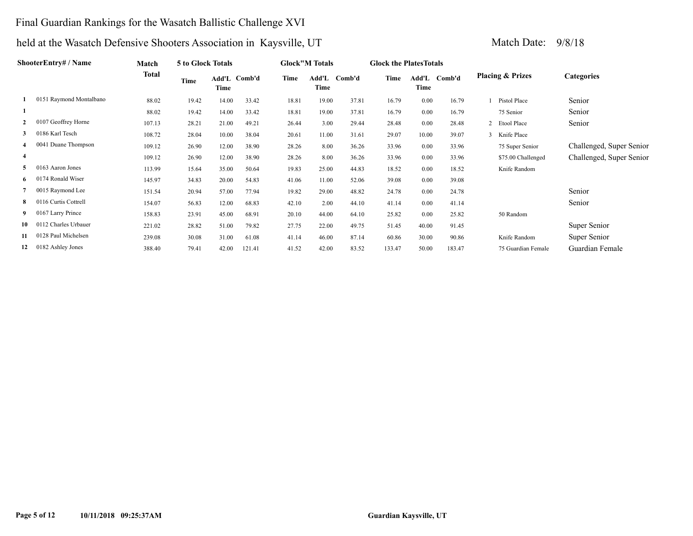### Final Guardian Rankings for the Wasatch Ballistic Challenge XVI

|                | ShooterEntry# / Name    | Match  | 5 to Glock Totals |                      |        |       | <b>Glock</b> "M Totals |        | <b>Glock the Plates Totals</b> |       |              |                             |                    |                          |
|----------------|-------------------------|--------|-------------------|----------------------|--------|-------|------------------------|--------|--------------------------------|-------|--------------|-----------------------------|--------------------|--------------------------|
|                |                         | Total  | <b>Time</b>       | Add'L Comb'd<br>Time |        | Time  | Add'L<br>Time          | Comb'd | Time                           | Time  | Add'L Comb'd | <b>Placing &amp; Prizes</b> |                    | <b>Categories</b>        |
|                | 0151 Raymond Montalbano | 88.02  | 19.42             | 14.00                | 33.42  | 18.81 | 19.00                  | 37.81  | 16.79                          | 0.00  | 16.79        |                             | Pistol Place       | Senior                   |
|                |                         | 88.02  | 19.42             | 14.00                | 33.42  | 18.81 | 19.00                  | 37.81  | 16.79                          | 0.00  | 16.79        |                             | 75 Senior          | Senior                   |
| $\overline{2}$ | 0107 Geoffrey Horne     | 107.13 | 28.21             | 21.00                | 49.21  | 26.44 | 3.00                   | 29.44  | 28.48                          | 0.00  | 28.48        |                             | 2 Etool Place      | Senior                   |
| 3              | 0186 Karl Tesch         | 108.72 | 28.04             | 10.00                | 38.04  | 20.61 | 11.00                  | 31.61  | 29.07                          | 10.00 | 39.07        |                             | Knife Place        |                          |
|                | 0041 Duane Thompson     | 109.12 | 26.90             | 12.00                | 38.90  | 28.26 | 8.00                   | 36.26  | 33.96                          | 0.00  | 33.96        |                             | 75 Super Senior    | Challenged, Super Senior |
| $\overline{4}$ |                         | 109.12 | 26.90             | 12.00                | 38.90  | 28.26 | 8.00                   | 36.26  | 33.96                          | 0.00  | 33.96        |                             | \$75.00 Challenged | Challenged, Super Senior |
| 5              | 0163 Aaron Jones        | 113.99 | 15.64             | 35.00                | 50.64  | 19.83 | 25.00                  | 44.83  | 18.52                          | 0.00  | 18.52        |                             | Knife Random       |                          |
| 6              | 74 Ronald Wiser         | 145.97 | 34.83             | 20.00                | 54.83  | 41.06 | 11.00                  | 52.06  | 39.08                          | 0.00  | 39.08        |                             |                    |                          |
|                | 0015 Raymond Lee        | 151.54 | 20.94             | 57.00                | 77.94  | 19.82 | 29.00                  | 48.82  | 24.78                          | 0.00  | 24.78        |                             |                    | Senior                   |
| 8              | 0116 Curtis Cottrell    | 154.07 | 56.83             | 12.00                | 68.83  | 42.10 | 2.00                   | 44.10  | 41.14                          | 0.00  | 41.14        |                             |                    | Senior                   |
|                | 0167 Larry Prince       | 158.83 | 23.91             | 45.00                | 68.91  | 20.10 | 44.00                  | 64.10  | 25.82                          | 0.00  | 25.82        |                             | 50 Random          |                          |
| 10             | 0112 Charles Urbauer    | 221.02 | 28.82             | 51.00                | 79.82  | 27.75 | 22.00                  | 49.75  | 51.45                          | 40.00 | 91.45        |                             |                    | Super Senior             |
| 11             | 0128 Paul Michelsen     | 239.08 | 30.08             | 31.00                | 61.08  | 41.14 | 46.00                  | 87.14  | 60.86                          | 30.00 | 90.86        |                             | Knife Random       | Super Senior             |
| 12             | 0182 Ashley Jones       | 388.40 | 79.41             | 42.00                | 121.41 | 41.52 | 42.00                  | 83.52  | 133.47                         | 50.00 | 183.47       |                             | 75 Guardian Female | Guardian Female          |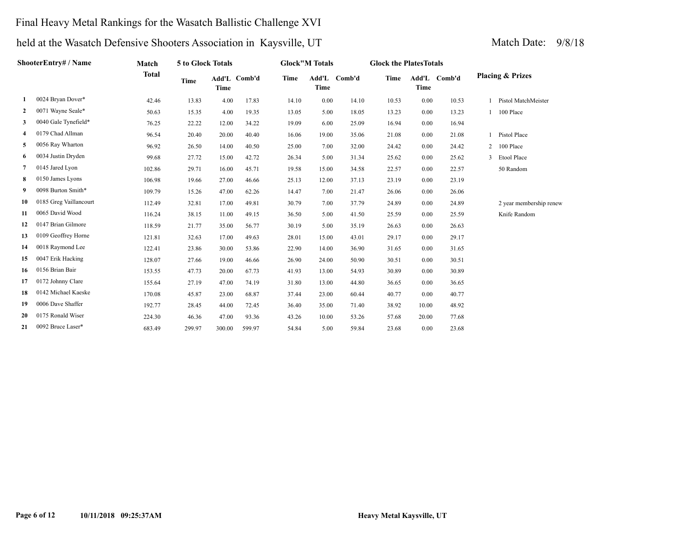### Final Heavy Metal Rankings for the Wasatch Ballistic Challenge XVI

|    | ShooterEntry# / Name   | Match        | <b>5 to Glock Totals</b> |             |              | <b>Glock</b> "M Totals |             | <b>Glock the Plates Totals</b> |       |       |              |                             |  |
|----|------------------------|--------------|--------------------------|-------------|--------------|------------------------|-------------|--------------------------------|-------|-------|--------------|-----------------------------|--|
|    |                        | <b>Total</b> | <b>Time</b>              | <b>Time</b> | Add'L Comb'd | <b>Time</b>            | <b>Time</b> | Add'L Comb'd                   | Time  | Time  | Add'L Comb'd | <b>Placing &amp; Prizes</b> |  |
| 1  | 0024 Bryan Dover*      | 42.46        | 13.83                    | 4.00        | 17.83        | 14.10                  | 0.00        | 14.10                          | 10.53 | 0.00  | 10.53        | Pistol MatchMeister         |  |
| 2  | 0071 Wayne Seale*      | 50.63        | 15.35                    | 4.00        | 19.35        | 13.05                  | 5.00        | 18.05                          | 13.23 | 0.00  | 13.23        | 100 Place                   |  |
| 3  | 0040 Gale Tynefield*   | 76.25        | 22.22                    | 12.00       | 34.22        | 19.09                  | 6.00        | 25.09                          | 16.94 | 0.00  | 16.94        |                             |  |
| 4  | 0179 Chad Allman       | 96.54        | 20.40                    | 20.00       | 40.40        | 16.06                  | 19.00       | 35.06                          | 21.08 | 0.00  | 21.08        | Pistol Place                |  |
| 5  | 0056 Ray Wharton       | 96.92        | 26.50                    | 14.00       | 40.50        | 25.00                  | 7.00        | 32.00                          | 24.42 | 0.00  | 24.42        | 2 100 Place                 |  |
| 6  | 0034 Justin Dryden     | 99.68        | 27.72                    | 15.00       | 42.72        | 26.34                  | 5.00        | 31.34                          | 25.62 | 0.00  | 25.62        | Etool Place                 |  |
| 7  | 0145 Jared Lyon        | 102.86       | 29.71                    | 16.00       | 45.71        | 19.58                  | 15.00       | 34.58                          | 22.57 | 0.00  | 22.57        | 50 Random                   |  |
| 8  | 0150 James Lyons       | 106.98       | 19.66                    | 27.00       | 46.66        | 25.13                  | 12.00       | 37.13                          | 23.19 | 0.00  | 23.19        |                             |  |
| 9  | 0098 Burton Smith*     | 109.79       | 15.26                    | 47.00       | 62.26        | 14.47                  | 7.00        | 21.47                          | 26.06 | 0.00  | 26.06        |                             |  |
| 10 | 0185 Greg Vaillancourt | 112.49       | 32.81                    | 17.00       | 49.81        | 30.79                  | 7.00        | 37.79                          | 24.89 | 0.00  | 24.89        | 2 year membership renew     |  |
| 11 | 0065 David Wood        | 116.24       | 38.15                    | 11.00       | 49.15        | 36.50                  | 5.00        | 41.50                          | 25.59 | 0.00  | 25.59        | Knife Random                |  |
| 12 | 0147 Brian Gilmore     | 118.59       | 21.77                    | 35.00       | 56.77        | 30.19                  | 5.00        | 35.19                          | 26.63 | 0.00  | 26.63        |                             |  |
| 13 | 0109 Geoffrey Horne    | 121.81       | 32.63                    | 17.00       | 49.63        | 28.01                  | 15.00       | 43.01                          | 29.17 | 0.00  | 29.17        |                             |  |
| 14 | 0018 Raymond Lee       | 122.41       | 23.86                    | 30.00       | 53.86        | 22.90                  | 14.00       | 36.90                          | 31.65 | 0.00  | 31.65        |                             |  |
| 15 | 0047 Erik Hacking      | 128.07       | 27.66                    | 19.00       | 46.66        | 26.90                  | 24.00       | 50.90                          | 30.51 | 0.00  | 30.51        |                             |  |
| 16 | 0156 Brian Bair        | 153.55       | 47.73                    | 20.00       | 67.73        | 41.93                  | 13.00       | 54.93                          | 30.89 | 0.00  | 30.89        |                             |  |
| 17 | 0172 Johnny Clare      | 155.64       | 27.19                    | 47.00       | 74.19        | 31.80                  | 13.00       | 44.80                          | 36.65 | 0.00  | 36.65        |                             |  |
| 18 | 0142 Michael Kaeske    | 170.08       | 45.87                    | 23.00       | 68.87        | 37.44                  | 23.00       | 60.44                          | 40.77 | 0.00  | 40.77        |                             |  |
| 19 | 0006 Dave Shaffer      | 192.77       | 28.45                    | 44.00       | 72.45        | 36.40                  | 35.00       | 71.40                          | 38.92 | 10.00 | 48.92        |                             |  |
| 20 | 0175 Ronald Wiser      | 224.30       | 46.36                    | 47.00       | 93.36        | 43.26                  | 10.00       | 53.26                          | 57.68 | 20.00 | 77.68        |                             |  |
| 21 | 0092 Bruce Laser*      | 683.49       | 299.97                   | 300.00      | 599.97       | 54.84                  | 5.00        | 59.84                          | 23.68 | 0.00  | 23.68        |                             |  |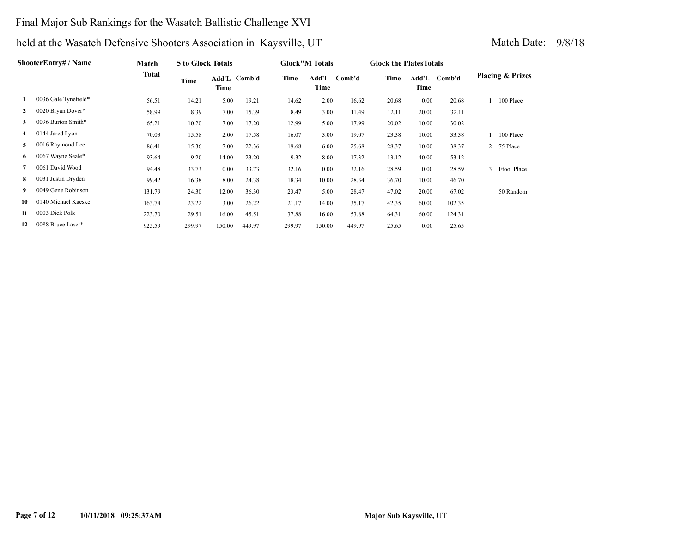### Final Major Sub Rankings for the Wasatch Ballistic Challenge XVI

|              | ShooterEntry# / Name | Match  | 5 to Glock Totals |        |              |        | <b>Glock</b> "M Totals |        |       | <b>Glock the PlatesTotals</b> |        |   |                             |
|--------------|----------------------|--------|-------------------|--------|--------------|--------|------------------------|--------|-------|-------------------------------|--------|---|-----------------------------|
|              |                      | Total  | Time              | Time   | Add'L Comb'd | Time   | Add'L<br>Time          | Comb'd | Time  | Add'L<br>Time                 | Comb'd |   | <b>Placing &amp; Prizes</b> |
| 1            | 0036 Gale Tynefield* | 56.51  | 14.21             | 5.00   | 19.21        | 14.62  | 2.00                   | 16.62  | 20.68 | 0.00                          | 20.68  |   | 100 Place                   |
| $\mathbf{2}$ | 0020 Bryan Dover*    | 58.99  | 8.39              | 7.00   | 15.39        | 8.49   | 3.00                   | 11.49  | 12.11 | 20.00                         | 32.11  |   |                             |
| 3            | 0096 Burton Smith*   | 65.21  | 10.20             | 7.00   | 17.20        | 12.99  | 5.00                   | 17.99  | 20.02 | 10.00                         | 30.02  |   |                             |
| 4            | 0144 Jared Lyon      | 70.03  | 15.58             | 2.00   | 17.58        | 16.07  | 3.00                   | 19.07  | 23.38 | 10.00                         | 33.38  |   | 100 Place                   |
| 5            | 0016 Raymond Lee     | 86.41  | 15.36             | 7.00   | 22.36        | 19.68  | 6.00                   | 25.68  | 28.37 | 10.00                         | 38.37  |   | 2 75 Place                  |
| 6            | 0067 Wayne Seale*    | 93.64  | 9.20              | 14.00  | 23.20        | 9.32   | 8.00                   | 17.32  | 13.12 | 40.00                         | 53.12  |   |                             |
| $7^{\circ}$  | 0061 David Wood      | 94.48  | 33.73             | 0.00   | 33.73        | 32.16  | 0.00                   | 32.16  | 28.59 | 0.00                          | 28.59  | 3 | Etool Place                 |
| 8.           | 0031 Justin Dryden   | 99.42  | 16.38             | 8.00   | 24.38        | 18.34  | 10.00                  | 28.34  | 36.70 | 10.00                         | 46.70  |   |                             |
| 9            | 0049 Gene Robinson   | 131.79 | 24.30             | 12.00  | 36.30        | 23.47  | 5.00                   | 28.47  | 47.02 | 20.00                         | 67.02  |   | 50 Random                   |
| 10           | 0140 Michael Kaeske  | 163.74 | 23.22             | 3.00   | 26.22        | 21.17  | 14.00                  | 35.17  | 42.35 | 60.00                         | 102.35 |   |                             |
| 11           | 0003 Dick Polk       | 223.70 | 29.51             | 16.00  | 45.51        | 37.88  | 16.00                  | 53.88  | 64.31 | 60.00                         | 124.31 |   |                             |
| 12           | 0088 Bruce Laser*    | 925.59 | 299.97            | 150.00 | 449.97       | 299.97 | 150.00                 | 449.97 | 25.65 | 0.00                          | 25.65  |   |                             |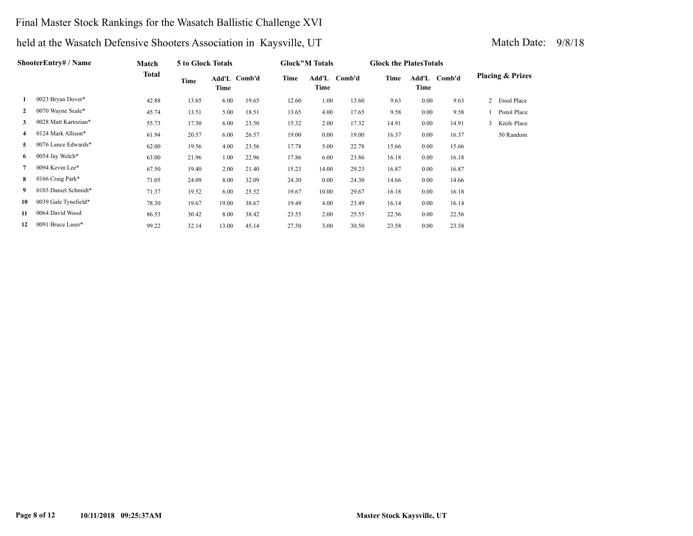### Final Master Stock Rankings for the Wasatch Ballistic Challenge XVI

|              | ShooterEntry# / Name | Match | 5 to Glock Totals |       | <b>Glock</b> "M Totals |       |               | <b>Glock the Plates Totals</b> |       |               |        |                             |               |
|--------------|----------------------|-------|-------------------|-------|------------------------|-------|---------------|--------------------------------|-------|---------------|--------|-----------------------------|---------------|
|              |                      | Total | Time              | Time  | Add'L Comb'd           | Time  | Add'L<br>Time | Comb'd                         | Time  | Add'L<br>Time | Comb'd | <b>Placing &amp; Prizes</b> |               |
| 1            | 0023 Bryan Dover*    | 42.88 | 13.65             | 6.00  | 19.65                  | 12.60 | 1.00          | 13.60                          | 9.63  | 0.00          | 9.63   |                             | 2 Etool Place |
| $\mathbf{2}$ | 0070 Wayne Seale*    | 45.74 | 13.51             | 5.00  | 18.51                  | 13.65 | 4.00          | 17.65                          | 9.58  | 0.00          | 9.58   |                             | Pistol Place  |
| 3            | 0028 Matt Kartozian* | 55.73 | 17.50             | 6.00  | 23.50                  | 15.32 | 2.00          | 17.32                          | 14.91 | 0.00          | 14.91  |                             | 3 Knife Place |
| 4            | 0124 Mark Allison*   | 61.94 | 20.57             | 6.00  | 26.57                  | 19.00 | 0.00          | 19.00                          | 16.37 | 0.00          | 16.37  |                             | 50 Random     |
| 5            | 0076 Lance Edwards*  | 62.00 | 19.56             | 4.00  | 23.56                  | 17.78 | 5.00          | 22.78                          | 15.66 | 0.00          | 15.66  |                             |               |
| 6            | 0054 Jay Welch*      | 63.00 | 21.96             | 1.00  | 22.96                  | 17.86 | 6.00          | 23.86                          | 16.18 | 0.00          | 16.18  |                             |               |
| $7^{\circ}$  | 0094 Kevin Lee*      | 67.50 | 19.40             | 2.00  | 21.40                  | 15.23 | 14.00         | 29.23                          | 16.87 | 0.00          | 16.87  |                             |               |
| 8.           | 0166 Craig Park*     | 71.05 | 24.09             | 8.00  | 32.09                  | 24.30 | 0.00          | 24.30                          | 14.66 | 0.00          | 14.66  |                             |               |
| 9            | 0103 Daniel Schmidt* | 71.37 | 19.52             | 6.00  | 25.52                  | 19.67 | 10.00         | 29.67                          | 16.18 | 0.00          | 16.18  |                             |               |
| 10           | 0039 Gale Tynefield* | 78.30 | 19.67             | 19.00 | 38.67                  | 19.49 | 4.00          | 23.49                          | 16.14 | 0.00          | 16.14  |                             |               |
| 11           | 0064 David Wood      | 86.53 | 30.42             | 8.00  | 38.42                  | 23.55 | 2.00          | 25.55                          | 22.56 | 0.00          | 22.56  |                             |               |
| 12           | 0091 Bruce Laser*    | 99.22 | 32.14             | 13.00 | 45.14                  | 27.50 | 3.00          | 30.50                          | 23.58 | 0.00          | 23.58  |                             |               |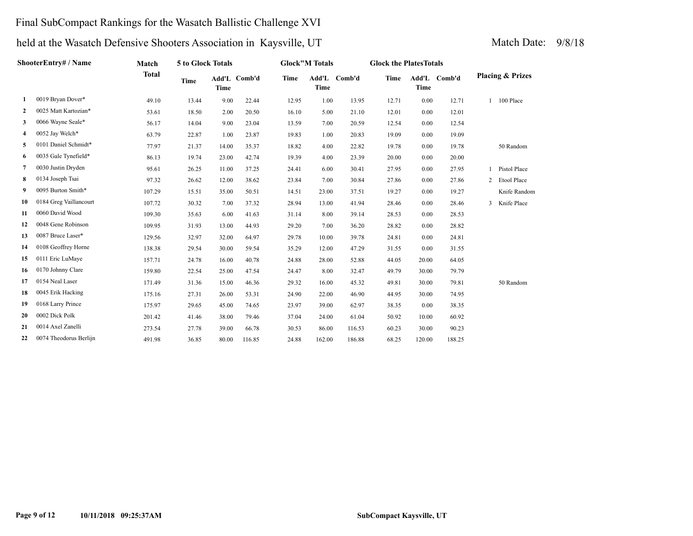### Final SubCompact Rankings for the Wasatch Ballistic Challenge XVI

|              | ShooterEntry# / Name   | <b>Match</b> | 5 to Glock Totals |             |              | <b>Glock"M Totals</b> |                      |        | <b>Glock the PlatesTotals</b> |             |              |                |                             |
|--------------|------------------------|--------------|-------------------|-------------|--------------|-----------------------|----------------------|--------|-------------------------------|-------------|--------------|----------------|-----------------------------|
|              |                        | <b>Total</b> | <b>Time</b>       | <b>Time</b> | Add'L Comb'd | <b>Time</b>           | Add'L<br><b>Time</b> | Comb'd | Time                          | <b>Time</b> | Add'L Comb'd |                | <b>Placing &amp; Prizes</b> |
| 1            | 0019 Bryan Dover*      | 49.10        | 13.44             | 9.00        | 22.44        | 12.95                 | 1.00                 | 13.95  | 12.71                         | 0.00        | 12.71        |                | 100 Place                   |
| $\mathbf{2}$ | 0025 Matt Kartozian*   | 53.61        | 18.50             | 2.00        | 20.50        | 16.10                 | 5.00                 | 21.10  | 12.01                         | 0.00        | 12.01        |                |                             |
| 3            | 0066 Wayne Seale*      | 56.17        | 14.04             | 9.00        | 23.04        | 13.59                 | 7.00                 | 20.59  | 12.54                         | 0.00        | 12.54        |                |                             |
| 4            | 0052 Jay Welch*        | 63.79        | 22.87             | 1.00        | 23.87        | 19.83                 | 1.00                 | 20.83  | 19.09                         | 0.00        | 19.09        |                |                             |
| 5            | 0101 Daniel Schmidt*   | 77.97        | 21.37             | 14.00       | 35.37        | 18.82                 | 4.00                 | 22.82  | 19.78                         | 0.00        | 19.78        |                | 50 Random                   |
| 6            | 0035 Gale Tynefield*   | 86.13        | 19.74             | 23.00       | 42.74        | 19.39                 | 4.00                 | 23.39  | 20.00                         | 0.00        | 20.00        |                |                             |
| $\tau$       | 0030 Justin Dryden     | 95.61        | 26.25             | 11.00       | 37.25        | 24.41                 | 6.00                 | 30.41  | 27.95                         | 0.00        | 27.95        |                | Pistol Place                |
| 8            | 0134 Joseph Tsai       | 97.32        | 26.62             | 12.00       | 38.62        | 23.84                 | 7.00                 | 30.84  | 27.86                         | 0.00        | 27.86        | $\overline{2}$ | Etool Place                 |
| 9            | 0095 Burton Smith*     | 107.29       | 15.51             | 35.00       | 50.51        | 14.51                 | 23.00                | 37.51  | 19.27                         | 0.00        | 19.27        |                | Knife Random                |
| 10           | 0184 Greg Vaillancourt | 107.72       | 30.32             | 7.00        | 37.32        | 28.94                 | 13.00                | 41.94  | 28.46                         | 0.00        | 28.46        | 3              | Knife Place                 |
| 11           | 0060 David Wood        | 109.30       | 35.63             | 6.00        | 41.63        | 31.14                 | 8.00                 | 39.14  | 28.53                         | 0.00        | 28.53        |                |                             |
| 12           | 0048 Gene Robinson     | 109.95       | 31.93             | 13.00       | 44.93        | 29.20                 | 7.00                 | 36.20  | 28.82                         | 0.00        | 28.82        |                |                             |
| 13           | 0087 Bruce Laser*      | 129.56       | 32.97             | 32.00       | 64.97        | 29.78                 | 10.00                | 39.78  | 24.81                         | 0.00        | 24.81        |                |                             |
| 14           | 0108 Geoffrey Horne    | 138.38       | 29.54             | 30.00       | 59.54        | 35.29                 | 12.00                | 47.29  | 31.55                         | 0.00        | 31.55        |                |                             |
| 15           | 0111 Eric LuMaye       | 157.71       | 24.78             | 16.00       | 40.78        | 24.88                 | 28.00                | 52.88  | 44.05                         | 20.00       | 64.05        |                |                             |
| 16           | 0170 Johnny Clare      | 159.80       | 22.54             | 25.00       | 47.54        | 24.47                 | 8.00                 | 32.47  | 49.79                         | 30.00       | 79.79        |                |                             |
| 17           | 0154 Neal Laser        | 171.49       | 31.36             | 15.00       | 46.36        | 29.32                 | 16.00                | 45.32  | 49.81                         | 30.00       | 79.81        |                | 50 Random                   |
| 18           | 0045 Erik Hacking      | 175.16       | 27.31             | 26.00       | 53.31        | 24.90                 | 22.00                | 46.90  | 44.95                         | 30.00       | 74.95        |                |                             |
| 19           | 0168 Larry Prince      | 175.97       | 29.65             | 45.00       | 74.65        | 23.97                 | 39.00                | 62.97  | 38.35                         | 0.00        | 38.35        |                |                             |
| 20           | 0002 Dick Polk         | 201.42       | 41.46             | 38.00       | 79.46        | 37.04                 | 24.00                | 61.04  | 50.92                         | 10.00       | 60.92        |                |                             |
| 21           | 0014 Axel Zanelli      | 273.54       | 27.78             | 39.00       | 66.78        | 30.53                 | 86.00                | 116.53 | 60.23                         | 30.00       | 90.23        |                |                             |
| 22           | 0074 Theodorus Berlijn | 491.98       | 36.85             | 80.00       | 116.85       | 24.88                 | 162.00               | 186.88 | 68.25                         | 120.00      | 188.25       |                |                             |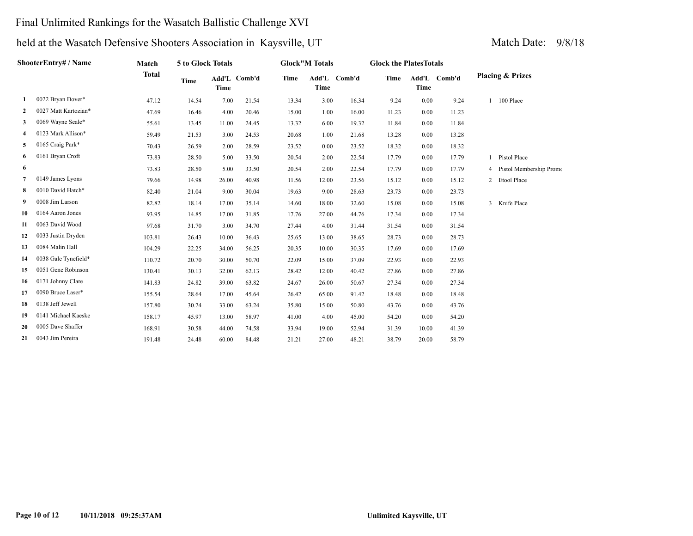### Final Unlimited Rankings for the Wasatch Ballistic Challenge XVI

|    | <b>ShooterEntry# / Name</b> | Match        | 5 to Glock Totals |       | <b>Glock"M Totals</b> |       |             | <b>Glock the PlatesTotals</b> |       |       |              |                             |
|----|-----------------------------|--------------|-------------------|-------|-----------------------|-------|-------------|-------------------------------|-------|-------|--------------|-----------------------------|
|    |                             | <b>Total</b> | <b>Time</b>       | Time  | Add'L Comb'd          | Time  | <b>Time</b> | Add'L Comb'd                  | Time  | Time  | Add'L Comb'd | <b>Placing &amp; Prizes</b> |
| 1  | 0022 Bryan Dover*           | 47.12        | 14.54             | 7.00  | 21.54                 | 13.34 | 3.00        | 16.34                         | 9.24  | 0.00  | 9.24         | 100 Place                   |
| 2  | 0027 Matt Kartozian*        | 47.69        | 16.46             | 4.00  | 20.46                 | 15.00 | 1.00        | 16.00                         | 11.23 | 0.00  | 11.23        |                             |
| 3  | 0069 Wayne Seale*           | 55.61        | 13.45             | 11.00 | 24.45                 | 13.32 | 6.00        | 19.32                         | 11.84 | 0.00  | 11.84        |                             |
| 4  | 0123 Mark Allison*          | 59.49        | 21.53             | 3.00  | 24.53                 | 20.68 | 1.00        | 21.68                         | 13.28 | 0.00  | 13.28        |                             |
| 5  | 0165 Craig Park*            | 70.43        | 26.59             | 2.00  | 28.59                 | 23.52 | 0.00        | 23.52                         | 18.32 | 0.00  | 18.32        |                             |
| 6  | 0161 Bryan Croft            | 73.83        | 28.50             | 5.00  | 33.50                 | 20.54 | 2.00        | 22.54                         | 17.79 | 0.00  | 17.79        | <b>Pistol Place</b>         |
| 6  |                             | 73.83        | 28.50             | 5.00  | 33.50                 | 20.54 | 2.00        | 22.54                         | 17.79 | 0.00  | 17.79        | 4 Pistol Membership Promo   |
| 7  | 0149 James Lyons            | 79.66        | 14.98             | 26.00 | 40.98                 | 11.56 | 12.00       | 23.56                         | 15.12 | 0.00  | 15.12        | 2 Etool Place               |
| 8  | 0010 David Hatch*           | 82.40        | 21.04             | 9.00  | 30.04                 | 19.63 | 9.00        | 28.63                         | 23.73 | 0.00  | 23.73        |                             |
| 9  | 0008 Jim Larson             | 82.82        | 18.14             | 17.00 | 35.14                 | 14.60 | 18.00       | 32.60                         | 15.08 | 0.00  | 15.08        | 3 Knife Place               |
| 10 | 0164 Aaron Jones            | 93.95        | 14.85             | 17.00 | 31.85                 | 17.76 | 27.00       | 44.76                         | 17.34 | 0.00  | 17.34        |                             |
| 11 | 0063 David Wood             | 97.68        | 31.70             | 3.00  | 34.70                 | 27.44 | 4.00        | 31.44                         | 31.54 | 0.00  | 31.54        |                             |
| 12 | 0033 Justin Dryden          | 103.81       | 26.43             | 10.00 | 36.43                 | 25.65 | 13.00       | 38.65                         | 28.73 | 0.00  | 28.73        |                             |
| 13 | 0084 Malin Hall             | 104.29       | 22.25             | 34.00 | 56.25                 | 20.35 | 10.00       | 30.35                         | 17.69 | 0.00  | 17.69        |                             |
| 14 | 0038 Gale Tynefield*        | 110.72       | 20.70             | 30.00 | 50.70                 | 22.09 | 15.00       | 37.09                         | 22.93 | 0.00  | 22.93        |                             |
| 15 | 0051 Gene Robinson          | 130.41       | 30.13             | 32.00 | 62.13                 | 28.42 | 12.00       | 40.42                         | 27.86 | 0.00  | 27.86        |                             |
| 16 | 0171 Johnny Clare           | 141.83       | 24.82             | 39.00 | 63.82                 | 24.67 | 26.00       | 50.67                         | 27.34 | 0.00  | 27.34        |                             |
| 17 | 0090 Bruce Laser*           | 155.54       | 28.64             | 17.00 | 45.64                 | 26.42 | 65.00       | 91.42                         | 18.48 | 0.00  | 18.48        |                             |
| 18 | 0138 Jeff Jewell            | 157.80       | 30.24             | 33.00 | 63.24                 | 35.80 | 15.00       | 50.80                         | 43.76 | 0.00  | 43.76        |                             |
| 19 | 0141 Michael Kaeske         | 158.17       | 45.97             | 13.00 | 58.97                 | 41.00 | 4.00        | 45.00                         | 54.20 | 0.00  | 54.20        |                             |
| 20 | 0005 Dave Shaffer           | 168.91       | 30.58             | 44.00 | 74.58                 | 33.94 | 19.00       | 52.94                         | 31.39 | 10.00 | 41.39        |                             |
| 21 | 0043 Jim Pereira            | 191.48       | 24.48             | 60.00 | 84.48                 | 21.21 | 27.00       | 48.21                         | 38.79 | 20.00 | 58.79        |                             |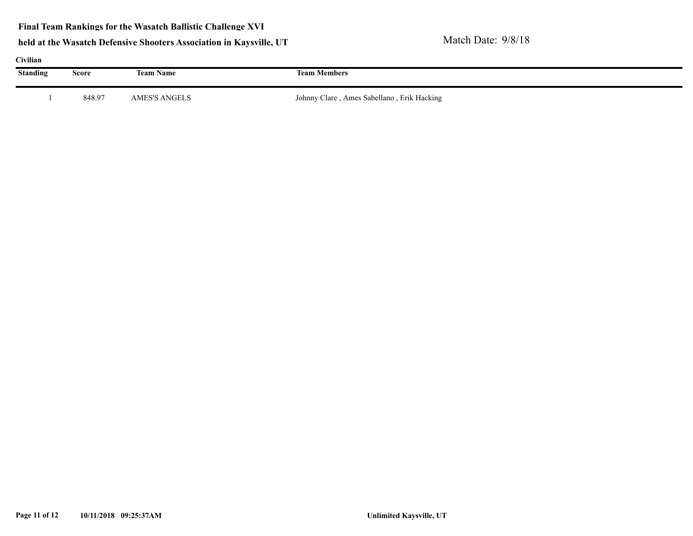| Civilian |        |                  |                                            |  |  |  |  |  |  |  |  |
|----------|--------|------------------|--------------------------------------------|--|--|--|--|--|--|--|--|
| Standing | Score  | <b>Team Name</b> | <b>Team Members</b>                        |  |  |  |  |  |  |  |  |
|          |        |                  |                                            |  |  |  |  |  |  |  |  |
|          | 848.97 | AMES'S ANGELS    | Johnny Clare, Ames Sabellano, Erik Hacking |  |  |  |  |  |  |  |  |
|          |        |                  |                                            |  |  |  |  |  |  |  |  |